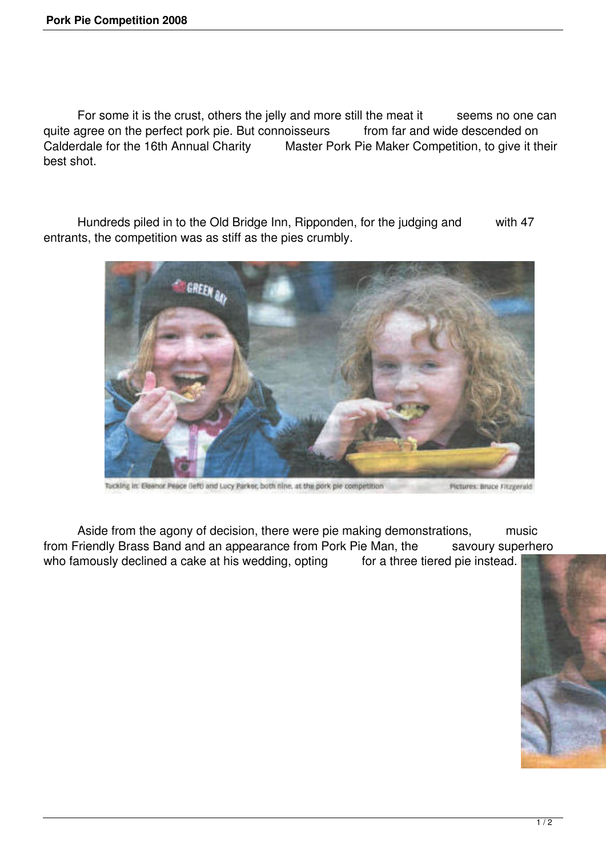For some it is the crust, others the jelly and more still the meat it seems no one can quite agree on the perfect pork pie. But connoisseurs from far and wide descended on<br>Calderdale for the 16th Annual Charity Master Pork Pie Maker Competition, to give it the Master Pork Pie Maker Competition, to give it their best shot.

 Hundreds piled in to the Old Bridge Inn, Ripponden, for the judging and with 47 entrants, the competition was as stiff as the pies crumbly.



Tucking in: Eleanor Peace (left) and Lucy Parker, both nine, at the pork pie competition Pictures: Bruce Fitzgerald

Aside from the agony of decision, there were pie making demonstrations, music from Friendly Brass Band and an appearance from Pork Pie Man, the savoury superhero who famously declined a cake at his wedding, opting for a three tiered pie instead.